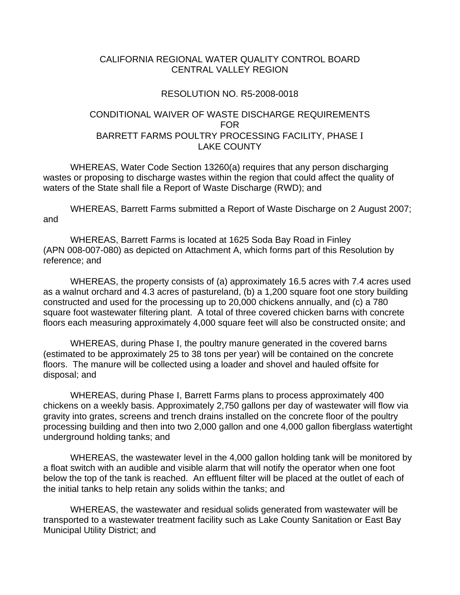#### CALIFORNIA REGIONAL WATER QUALITY CONTROL BOARD CENTRAL VALLEY REGION

#### RESOLUTION NO. R5-2008-0018

# CONDITIONAL WAIVER OF WASTE DISCHARGE REQUIREMENTS FOR BARRETT FARMS POULTRY PROCESSING FACILITY, PHASE I LAKE COUNTY

 WHEREAS, Water Code Section 13260(a) requires that any person discharging wastes or proposing to discharge wastes within the region that could affect the quality of waters of the State shall file a Report of Waste Discharge (RWD); and

 WHEREAS, Barrett Farms submitted a Report of Waste Discharge on 2 August 2007; and

 WHEREAS, Barrett Farms is located at 1625 Soda Bay Road in Finley (APN 008-007-080) as depicted on Attachment A, which forms part of this Resolution by reference; and

 WHEREAS, the property consists of (a) approximately 16.5 acres with 7.4 acres used as a walnut orchard and 4.3 acres of pastureland, (b) a 1,200 square foot one story building constructed and used for the processing up to 20,000 chickens annually, and (c) a 780 square foot wastewater filtering plant. A total of three covered chicken barns with concrete floors each measuring approximately 4,000 square feet will also be constructed onsite; and

 WHEREAS, during Phase I, the poultry manure generated in the covered barns (estimated to be approximately 25 to 38 tons per year) will be contained on the concrete floors. The manure will be collected using a loader and shovel and hauled offsite for disposal; and

 WHEREAS, during Phase I, Barrett Farms plans to process approximately 400 chickens on a weekly basis. Approximately 2,750 gallons per day of wastewater will flow via gravity into grates, screens and trench drains installed on the concrete floor of the poultry processing building and then into two 2,000 gallon and one 4,000 gallon fiberglass watertight underground holding tanks; and

 WHEREAS, the wastewater level in the 4,000 gallon holding tank will be monitored by a float switch with an audible and visible alarm that will notify the operator when one foot below the top of the tank is reached. An effluent filter will be placed at the outlet of each of the initial tanks to help retain any solids within the tanks; and

 WHEREAS, the wastewater and residual solids generated from wastewater will be transported to a wastewater treatment facility such as Lake County Sanitation or East Bay Municipal Utility District; and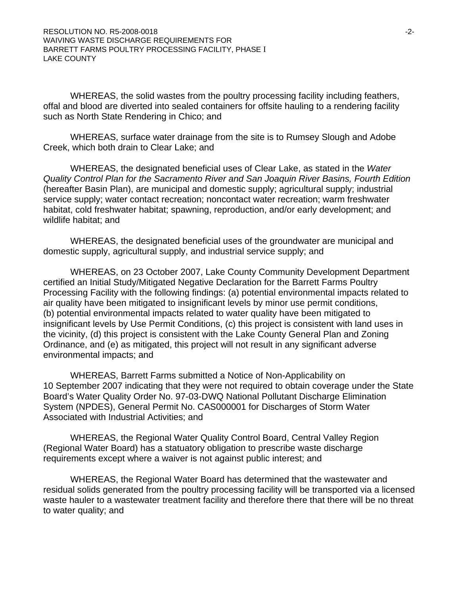WHEREAS, the solid wastes from the poultry processing facility including feathers, offal and blood are diverted into sealed containers for offsite hauling to a rendering facility such as North State Rendering in Chico; and

 WHEREAS, surface water drainage from the site is to Rumsey Slough and Adobe Creek, which both drain to Clear Lake; and

 WHEREAS, the designated beneficial uses of Clear Lake, as stated in the *Water Quality Control Plan for the Sacramento River and San Joaquin River Basins, Fourth Edition* (hereafter Basin Plan), are municipal and domestic supply; agricultural supply; industrial service supply; water contact recreation; noncontact water recreation; warm freshwater habitat, cold freshwater habitat; spawning, reproduction, and/or early development; and wildlife habitat; and

 WHEREAS, the designated beneficial uses of the groundwater are municipal and domestic supply, agricultural supply, and industrial service supply; and

 WHEREAS, on 23 October 2007, Lake County Community Development Department certified an Initial Study/Mitigated Negative Declaration for the Barrett Farms Poultry Processing Facility with the following findings: (a) potential environmental impacts related to air quality have been mitigated to insignificant levels by minor use permit conditions, (b) potential environmental impacts related to water quality have been mitigated to insignificant levels by Use Permit Conditions, (c) this project is consistent with land uses in the vicinity, (d) this project is consistent with the Lake County General Plan and Zoning Ordinance, and (e) as mitigated, this project will not result in any significant adverse environmental impacts; and

 WHEREAS, Barrett Farms submitted a Notice of Non-Applicability on 10 September 2007 indicating that they were not required to obtain coverage under the State Board's Water Quality Order No. 97-03-DWQ National Pollutant Discharge Elimination System (NPDES), General Permit No. CAS000001 for Discharges of Storm Water Associated with Industrial Activities; and

 WHEREAS, the Regional Water Quality Control Board, Central Valley Region (Regional Water Board) has a statuatory obligation to prescribe waste discharge requirements except where a waiver is not against public interest; and

 WHEREAS, the Regional Water Board has determined that the wastewater and residual solids generated from the poultry processing facility will be transported via a licensed waste hauler to a wastewater treatment facility and therefore there that there will be no threat to water quality; and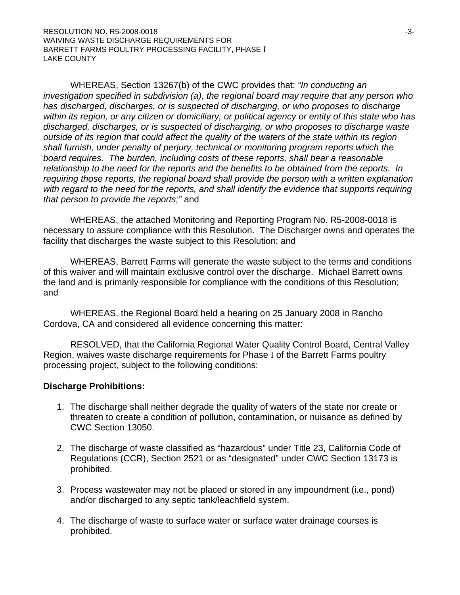WHEREAS, Section 13267(b) of the CWC provides that: *"In conducting an investigation specified in subdivision (a), the regional board may require that any person who has discharged, discharges, or is suspected of discharging, or who proposes to discharge within its region, or any citizen or domiciliary, or political agency or entity of this state who has discharged, discharges, or is suspected of discharging, or who proposes to discharge waste outside of its region that could affect the quality of the waters of the state within its region shall furnish, under penalty of perjury, technical or monitoring program reports which the board requires. The burden, including costs of these reports, shall bear a reasonable relationship to the need for the reports and the benefits to be obtained from the reports. In requiring those reports, the regional board shall provide the person with a written explanation*  with regard to the need for the reports, and shall identify the evidence that supports requiring *that person to provide the reports;"* and

 WHEREAS, the attached Monitoring and Reporting Program No. R5-2008-0018 is necessary to assure compliance with this Resolution. The Discharger owns and operates the facility that discharges the waste subject to this Resolution; and

 WHEREAS, Barrett Farms will generate the waste subject to the terms and conditions of this waiver and will maintain exclusive control over the discharge. Michael Barrett owns the land and is primarily responsible for compliance with the conditions of this Resolution; and

 WHEREAS, the Regional Board held a hearing on 25 January 2008 in Rancho Cordova, CA and considered all evidence concerning this matter:

 RESOLVED, that the California Regional Water Quality Control Board, Central Valley Region, waives waste discharge requirements for Phase I of the Barrett Farms poultry processing project, subject to the following conditions:

### **Discharge Prohibitions:**

- 1. The discharge shall neither degrade the quality of waters of the state nor create or threaten to create a condition of pollution, contamination, or nuisance as defined by CWC Section 13050.
- 2. The discharge of waste classified as "hazardous" under Title 23, California Code of Regulations (CCR), Section 2521 or as "designated" under CWC Section 13173 is prohibited.
- 3. Process wastewater may not be placed or stored in any impoundment (i.e., pond) and/or discharged to any septic tank/leachfield system.
- 4. The discharge of waste to surface water or surface water drainage courses is prohibited.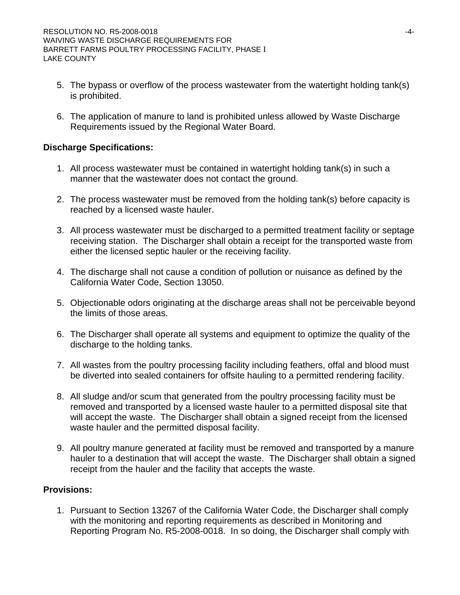- 5. The bypass or overflow of the process wastewater from the watertight holding tank(s) is prohibited.
- 6. The application of manure to land is prohibited unless allowed by Waste Discharge Requirements issued by the Regional Water Board.

# **Discharge Specifications:**

- 1. All process wastewater must be contained in watertight holding tank(s) in such a manner that the wastewater does not contact the ground.
- 2. The process wastewater must be removed from the holding tank(s) before capacity is reached by a licensed waste hauler.
- 3. All process wastewater must be discharged to a permitted treatment facility or septage receiving station. The Discharger shall obtain a receipt for the transported waste from either the licensed septic hauler or the receiving facility.
- 4. The discharge shall not cause a condition of pollution or nuisance as defined by the California Water Code, Section 13050.
- 5. Objectionable odors originating at the discharge areas shall not be perceivable beyond the limits of those areas.
- 6. The Discharger shall operate all systems and equipment to optimize the quality of the discharge to the holding tanks.
- 7. All wastes from the poultry processing facility including feathers, offal and blood must be diverted into sealed containers for offsite hauling to a permitted rendering facility.
- 8. All sludge and/or scum that generated from the poultry processing facility must be removed and transported by a licensed waste hauler to a permitted disposal site that will accept the waste. The Discharger shall obtain a signed receipt from the licensed waste hauler and the permitted disposal facility.
- 9. All poultry manure generated at facility must be removed and transported by a manure hauler to a destination that will accept the waste. The Discharger shall obtain a signed receipt from the hauler and the facility that accepts the waste.

### **Provisions:**

1. Pursuant to Section 13267 of the California Water Code, the Discharger shall comply with the monitoring and reporting requirements as described in Monitoring and Reporting Program No. R5-2008-0018. In so doing, the Discharger shall comply with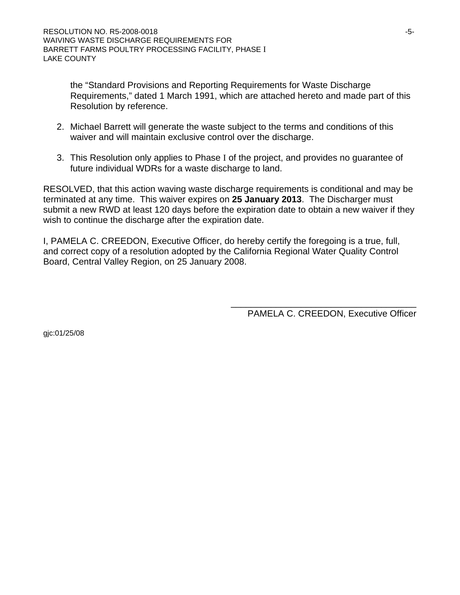the "Standard Provisions and Reporting Requirements for Waste Discharge Requirements," dated 1 March 1991, which are attached hereto and made part of this Resolution by reference.

- 2. Michael Barrett will generate the waste subject to the terms and conditions of this waiver and will maintain exclusive control over the discharge.
- 3. This Resolution only applies to Phase I of the project, and provides no guarantee of future individual WDRs for a waste discharge to land.

RESOLVED, that this action waving waste discharge requirements is conditional and may be terminated at any time. This waiver expires on **25 January 2013**. The Discharger must submit a new RWD at least 120 days before the expiration date to obtain a new waiver if they wish to continue the discharge after the expiration date.

I, PAMELA C. CREEDON, Executive Officer, do hereby certify the foregoing is a true, full, and correct copy of a resolution adopted by the California Regional Water Quality Control Board, Central Valley Region, on 25 January 2008.

PAMELA C. CREEDON, Executive Officer

\_\_\_\_\_\_\_\_\_\_\_\_\_\_\_\_\_\_\_\_\_\_\_\_\_\_\_\_\_\_\_\_\_\_\_\_\_

gjc:01/25/08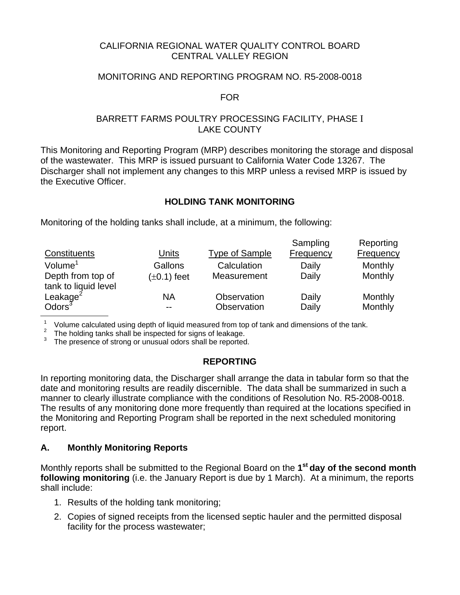### CALIFORNIA REGIONAL WATER QUALITY CONTROL BOARD CENTRAL VALLEY REGION

# MONITORING AND REPORTING PROGRAM NO. R5-2008-0018

### FOR

# BARRETT FARMS POULTRY PROCESSING FACILITY, PHASE I LAKE COUNTY

This Monitoring and Reporting Program (MRP) describes monitoring the storage and disposal of the wastewater. This MRP is issued pursuant to California Water Code 13267. The Discharger shall not implement any changes to this MRP unless a revised MRP is issued by the Executive Officer.

# **HOLDING TANK MONITORING**

Monitoring of the holding tanks shall include, at a minimum, the following:

|                                            |                  |                       | Sampling  | Reporting |
|--------------------------------------------|------------------|-----------------------|-----------|-----------|
| Constituents                               | <b>Units</b>     | <b>Type of Sample</b> | Frequency | Frequency |
| Volume <sup>1</sup>                        | Gallons          | Calculation           | Daily     | Monthly   |
| Depth from top of                          | $(\pm 0.1)$ feet | Measurement           | Daily     | Monthly   |
| tank to liquid level                       |                  |                       |           |           |
| Leakage <sup>2</sup><br>Odors <sup>3</sup> | ΝA               | Observation           | Daily     | Monthly   |
|                                            | $- -$            | Observation           | Daily     | Monthly   |

<sup>1</sup> Volume calculated using depth of liquid measured from top of tank and dimensions of the tank.<br><sup>2</sup> The holding tanks shall be inspected for signs of leakage.

 $3$  The presence of strong or unusual odors shall be reported.

# **REPORTING**

In reporting monitoring data, the Discharger shall arrange the data in tabular form so that the date and monitoring results are readily discernible. The data shall be summarized in such a manner to clearly illustrate compliance with the conditions of Resolution No. R5-2008-0018. The results of any monitoring done more frequently than required at the locations specified in the Monitoring and Reporting Program shall be reported in the next scheduled monitoring report.

### **A. Monthly Monitoring Reports**

Monthly reports shall be submitted to the Regional Board on the **1st day of the second month following monitoring** (i.e. the January Report is due by 1 March). At a minimum, the reports shall include:

- 1. Results of the holding tank monitoring;
- 2. Copies of signed receipts from the licensed septic hauler and the permitted disposal facility for the process wastewater;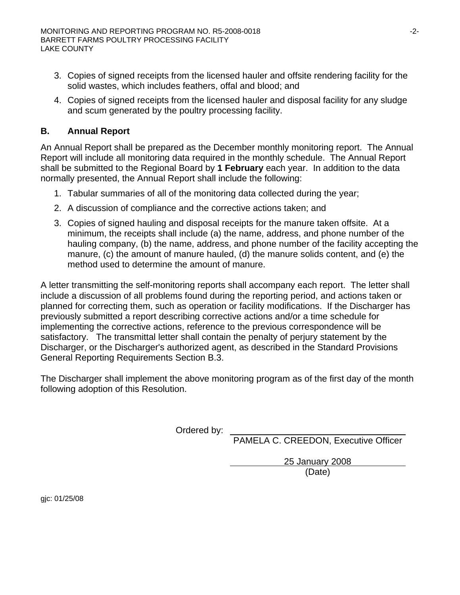- 3. Copies of signed receipts from the licensed hauler and offsite rendering facility for the solid wastes, which includes feathers, offal and blood; and
- 4. Copies of signed receipts from the licensed hauler and disposal facility for any sludge and scum generated by the poultry processing facility.

# **B. Annual Report**

An Annual Report shall be prepared as the December monthly monitoring report. The Annual Report will include all monitoring data required in the monthly schedule. The Annual Report shall be submitted to the Regional Board by **1 February** each year. In addition to the data normally presented, the Annual Report shall include the following:

- 1. Tabular summaries of all of the monitoring data collected during the year;
- 2. A discussion of compliance and the corrective actions taken; and
- 3. Copies of signed hauling and disposal receipts for the manure taken offsite. At a minimum, the receipts shall include (a) the name, address, and phone number of the hauling company, (b) the name, address, and phone number of the facility accepting the manure, (c) the amount of manure hauled, (d) the manure solids content, and (e) the method used to determine the amount of manure.

A letter transmitting the self-monitoring reports shall accompany each report. The letter shall include a discussion of all problems found during the reporting period, and actions taken or planned for correcting them, such as operation or facility modifications. If the Discharger has previously submitted a report describing corrective actions and/or a time schedule for implementing the corrective actions, reference to the previous correspondence will be satisfactory. The transmittal letter shall contain the penalty of perjury statement by the Discharger, or the Discharger's authorized agent, as described in the Standard Provisions General Reporting Requirements Section B.3.

The Discharger shall implement the above monitoring program as of the first day of the month following adoption of this Resolution.

Ordered by:

PAMELA C. CREEDON, Executive Officer

25 January 2008 (Date)

gjc: 01/25/08